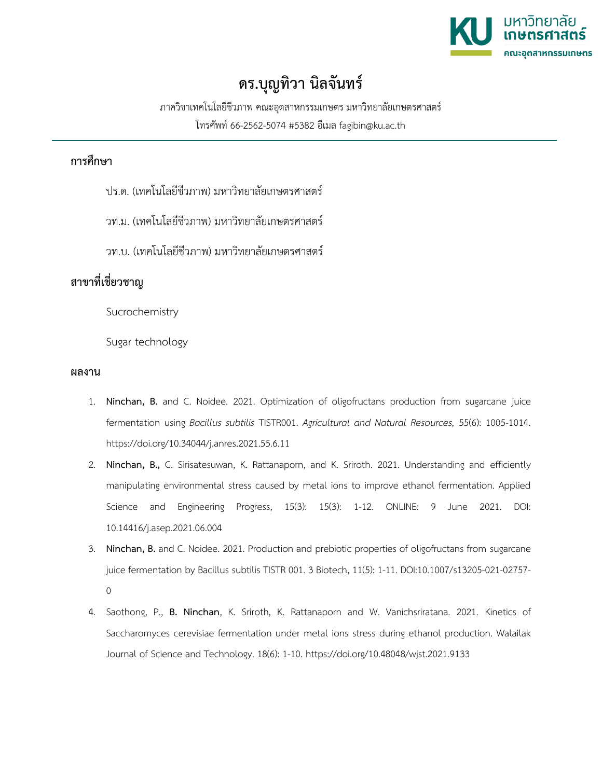

## **ดร.บุญทิวา นิลจันทร์**

ภาควิชาเทคโนโลยีชีวภาพ คณะอุตสาหกรรมเกษตร มหาวิทยาลัยเกษตรศาสตร์ โทรศัพท์ 66-2562-5074 #5382 อีเมล fagibin@ku.ac.th

## **การศึกษา**

ปร.ด. (เทคโนโลยีชีวภาพ) มหาวิทยาลัยเกษตรศาสตร์

วท.ม. (เทคโนโลยีชีวภาพ) มหาวิทยาลัยเกษตรศาสตร์

วท.บ. (เทคโนโลยีชีวภาพ) มหาวิทยาลัยเกษตรศาสตร์

## **สาขาที่เชี่ยวชาญ**

Sucrochemistry

Sugar technology

## **ผลงาน**

- 1. **Ninchan, B.** and C. Noidee. 2021. Optimization of oligofructans production from sugarcane juice fermentation using *Bacillus subtilis* TISTR001. *Agricultural and Natural Resources,* 55(6): 1005-1014. https://doi.org/10.34044/j.anres.2021.55.6.11
- 2. **Ninchan, B.,** C. Sirisatesuwan, K. Rattanaporn, and K. Sriroth. 2021. Understanding and efficiently manipulating environmental stress caused by metal ions to improve ethanol fermentation. Applied Science and Engineering Progress, 15(3): 15(3): 1-12. ONLINE: 9 June 2021. DOI: 10.14416/j.asep.2021.06.004
- 3. **Ninchan, B.** and C. Noidee. 2021. Production and prebiotic properties of oligofructans from sugarcane juice fermentation by Bacillus subtilis TISTR 001. 3 Biotech, 11(5): 1-11. DOI:10.1007/s13205-021-02757-  $\Omega$
- 4. Saothong, P., **B. Ninchan**, K. Sriroth, K. Rattanaporn and W. Vanichsriratana. 2021. Kinetics of Saccharomyces cerevisiae fermentation under metal ions stress during ethanol production. Walailak Journal of Science and Technology. 18(6): 1-10.<https://doi.org/10.48048/wjst.2021.9133>